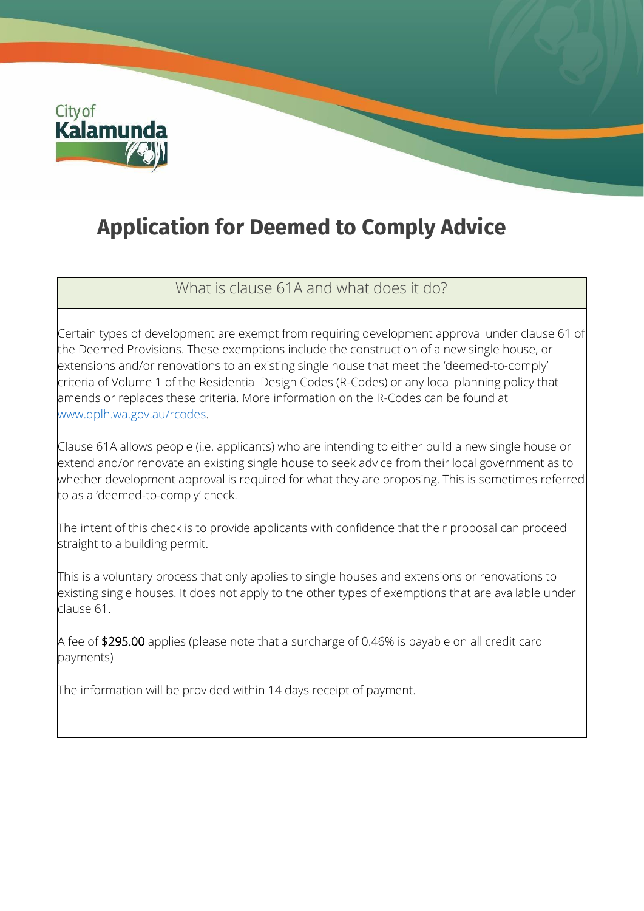

## **Application for Deemed to Comply Advice**

What is clause 61A and what does it do?

Certain types of development are exempt from requiring development approval under clause 61 of the Deemed Provisions. These exemptions include the construction of a new single house, or extensions and/or renovations to an existing single house that meet the 'deemed-to-comply' criteria of Volume 1 of the Residential Design Codes (R-Codes) or any local planning policy that amends or replaces these criteria. More information on the R-Codes can be found at [www.dplh.wa.gov.au/rcodes.](http://www.dplh.wa.gov.au/rcodes)

Clause 61A allows people (i.e. applicants) who are intending to either build a new single house or extend and/or renovate an existing single house to seek advice from their local government as to whether development approval is required for what they are proposing. This is sometimes referred to as a 'deemed-to-comply' check.

The intent of this check is to provide applicants with confidence that their proposal can proceed straight to a building permit.

This is a voluntary process that only applies to single houses and extensions or renovations to existing single houses. It does not apply to the other types of exemptions that are available under clause 61.

A fee of \$295.00 applies (please note that a surcharge of 0.46% is payable on all credit card payments)

The information will be provided within 14 days receipt of payment.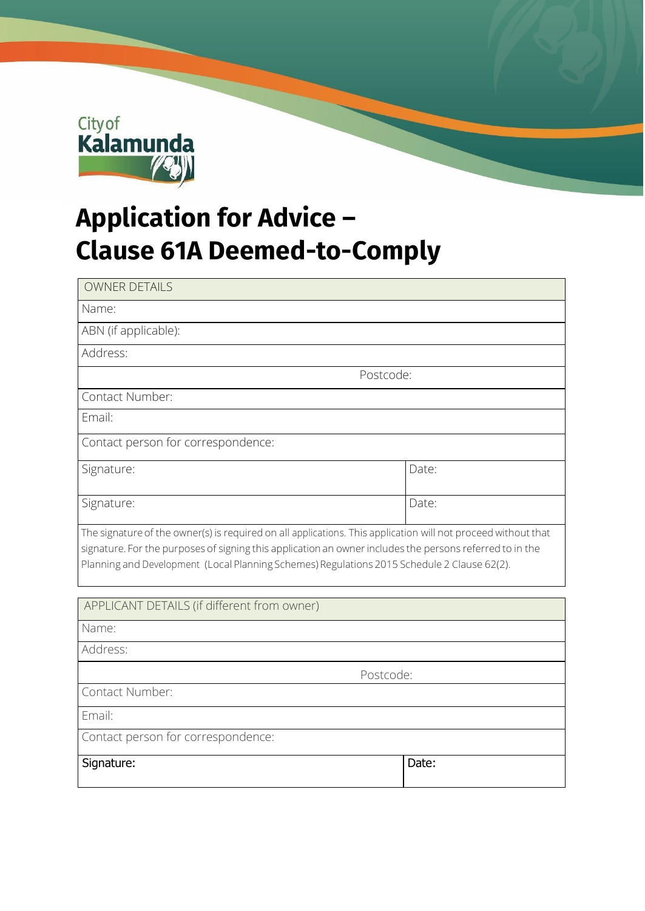

## **Application for Advice – Clause 61A Deemed-to-Comply**

| <b>OWNER DETAILS</b>                                                                                                                                                                                                                                                                                                     |       |
|--------------------------------------------------------------------------------------------------------------------------------------------------------------------------------------------------------------------------------------------------------------------------------------------------------------------------|-------|
| Name:                                                                                                                                                                                                                                                                                                                    |       |
| ABN (if applicable):                                                                                                                                                                                                                                                                                                     |       |
| Address:                                                                                                                                                                                                                                                                                                                 |       |
| Postcode:                                                                                                                                                                                                                                                                                                                |       |
| Contact Number:                                                                                                                                                                                                                                                                                                          |       |
| Email:                                                                                                                                                                                                                                                                                                                   |       |
| Contact person for correspondence:                                                                                                                                                                                                                                                                                       |       |
| Signature:                                                                                                                                                                                                                                                                                                               | Date: |
| Signature:                                                                                                                                                                                                                                                                                                               | Date: |
| The signature of the owner(s) is required on all applications. This application will not proceed without that<br>signature. For the purposes of signing this application an owner includes the persons referred to in the<br>Planning and Development (Local Planning Schemes) Regulations 2015 Schedule 2 Clause 62(2). |       |
| APPLICANT DETAILS (if different from owner)                                                                                                                                                                                                                                                                              |       |
| Name:                                                                                                                                                                                                                                                                                                                    |       |
| Address:                                                                                                                                                                                                                                                                                                                 |       |
| Postcode:                                                                                                                                                                                                                                                                                                                |       |
| Contact Number:                                                                                                                                                                                                                                                                                                          |       |
| Email:                                                                                                                                                                                                                                                                                                                   |       |
| Contact person for correspondence:                                                                                                                                                                                                                                                                                       |       |
| Signature:                                                                                                                                                                                                                                                                                                               | Date: |